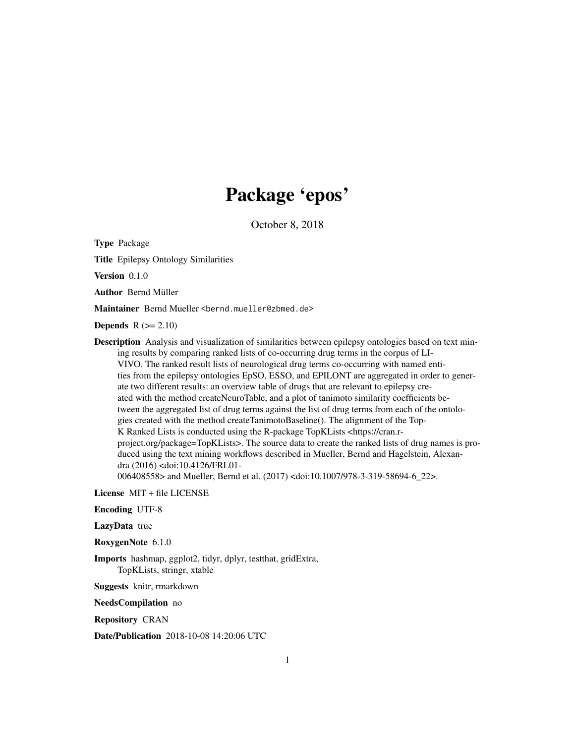# Package 'epos'

October 8, 2018

Type Package

Title Epilepsy Ontology Similarities

Version 0.1.0

Author Bernd Müller

Maintainer Bernd Mueller <bernd.mueller@zbmed.de>

Depends  $R (= 2.10)$ 

Description Analysis and visualization of similarities between epilepsy ontologies based on text mining results by comparing ranked lists of co-occurring drug terms in the corpus of LI-VIVO. The ranked result lists of neurological drug terms co-occurring with named entities from the epilepsy ontologies EpSO, ESSO, and EPILONT are aggregated in order to generate two different results: an overview table of drugs that are relevant to epilepsy created with the method createNeuroTable, and a plot of tanimoto similarity coefficients between the aggregated list of drug terms against the list of drug terms from each of the ontologies created with the method createTanimotoBaseline(). The alignment of the Top-K Ranked Lists is conducted using the R-package TopKLists <https://cran.rproject.org/package=TopKLists>. The source data to create the ranked lists of drug names is produced using the text mining workflows described in Mueller, Bernd and Hagelstein, Alexandra (2016) <doi:10.4126/FRL01-

006408558> and Mueller, Bernd et al. (2017) <doi:10.1007/978-3-319-58694-6\_22>.

License MIT + file LICENSE

Encoding UTF-8

LazyData true

RoxygenNote 6.1.0

Imports hashmap, ggplot2, tidyr, dplyr, testthat, gridExtra, TopKLists, stringr, xtable

Suggests knitr, rmarkdown

NeedsCompilation no

Repository CRAN

Date/Publication 2018-10-08 14:20:06 UTC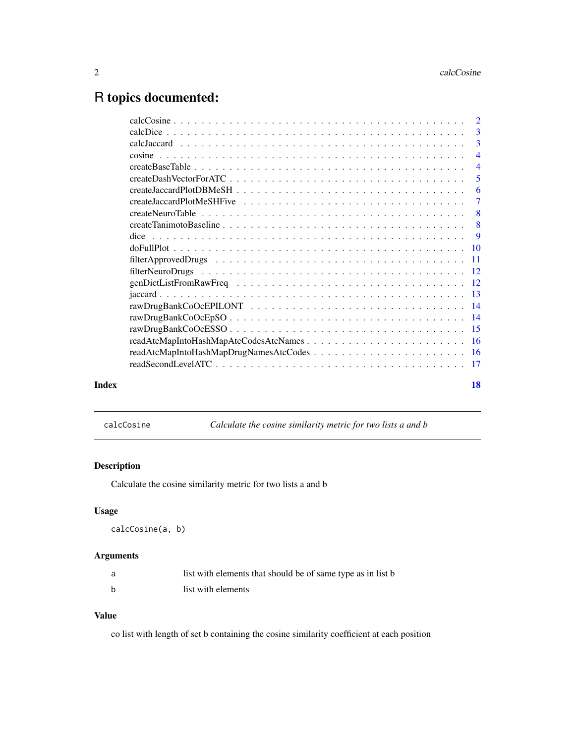# <span id="page-1-0"></span>R topics documented:

|       | -3             |
|-------|----------------|
|       |                |
|       | $\overline{4}$ |
|       |                |
|       | -5             |
|       | 6              |
|       |                |
|       | $-8$           |
|       |                |
|       |                |
|       |                |
|       |                |
|       |                |
|       |                |
|       |                |
|       |                |
|       |                |
|       |                |
|       |                |
|       |                |
|       |                |
| Index | 18             |
|       |                |

calcCosine *Calculate the cosine similarity metric for two lists a and b*

# Description

Calculate the cosine similarity metric for two lists a and b

# Usage

```
calcCosine(a, b)
```
# Arguments

| list with elements that should be of same type as in list b |
|-------------------------------------------------------------|
| list with elements                                          |

# Value

co list with length of set b containing the cosine similarity coefficient at each position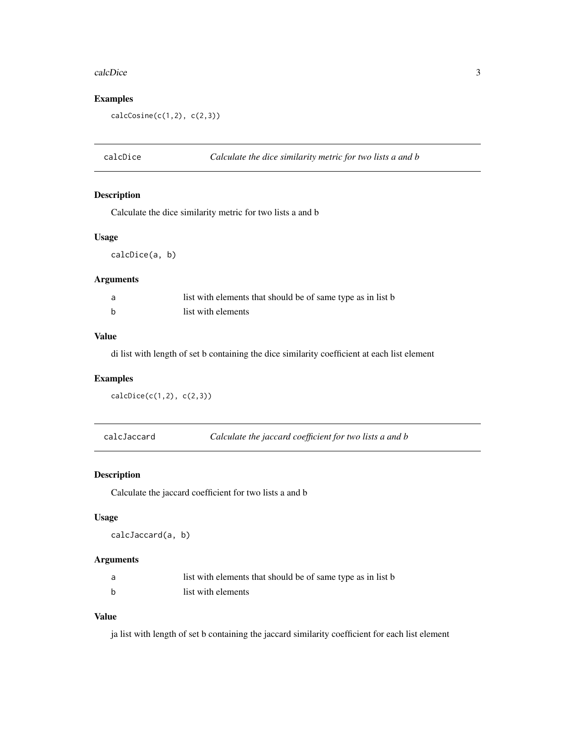#### <span id="page-2-0"></span>calcDice 3

# Examples

 $calcCosine(c(1,2), c(2,3))$ 

calcDice *Calculate the dice similarity metric for two lists a and b*

# Description

Calculate the dice similarity metric for two lists a and b

#### Usage

calcDice(a, b)

#### Arguments

| list with elements that should be of same type as in list b |
|-------------------------------------------------------------|
| list with elements                                          |

# Value

di list with length of set b containing the dice similarity coefficient at each list element

#### Examples

```
calcDice(c(1,2), c(2,3))
```
calcJaccard *Calculate the jaccard coefficient for two lists a and b*

#### Description

Calculate the jaccard coefficient for two lists a and b

#### Usage

calcJaccard(a, b)

#### Arguments

|   | list with elements that should be of same type as in list b |
|---|-------------------------------------------------------------|
| b | list with elements                                          |

# Value

ja list with length of set b containing the jaccard similarity coefficient for each list element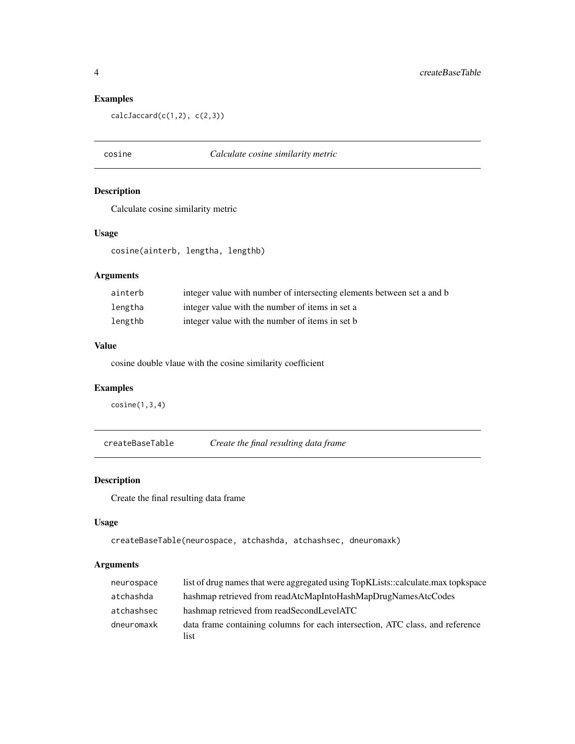# Examples

 $calCacard(c(1,2), c(2,3))$ 

# cosine *Calculate cosine similarity metric*

# Description

Calculate cosine similarity metric

#### Usage

cosine(ainterb, lengtha, lengthb)

#### Arguments

| ainterb | integer value with number of intersecting elements between set a and b |
|---------|------------------------------------------------------------------------|
| lengtha | integer value with the number of items in set a                        |
| lengthb | integer value with the number of items in set b                        |

### Value

cosine double vlaue with the cosine similarity coefficient

# Examples

cosine(1,3,4)

createBaseTable *Create the final resulting data frame*

# Description

Create the final resulting data frame

# Usage

createBaseTable(neurospace, atchashda, atchashsec, dneuromaxk)

#### Arguments

| neurospace | list of drug names that were aggregated using TopKLists::calculate.max topkspace      |
|------------|---------------------------------------------------------------------------------------|
| atchashda  | hashmap retrieved from readAtcMapIntoHashMapDrugNamesAtcCodes                         |
| atchashsec | hashmap retrieved from readSecondLevelATC                                             |
| dneuromaxk | data frame containing columns for each intersection, ATC class, and reference<br>list |

<span id="page-3-0"></span>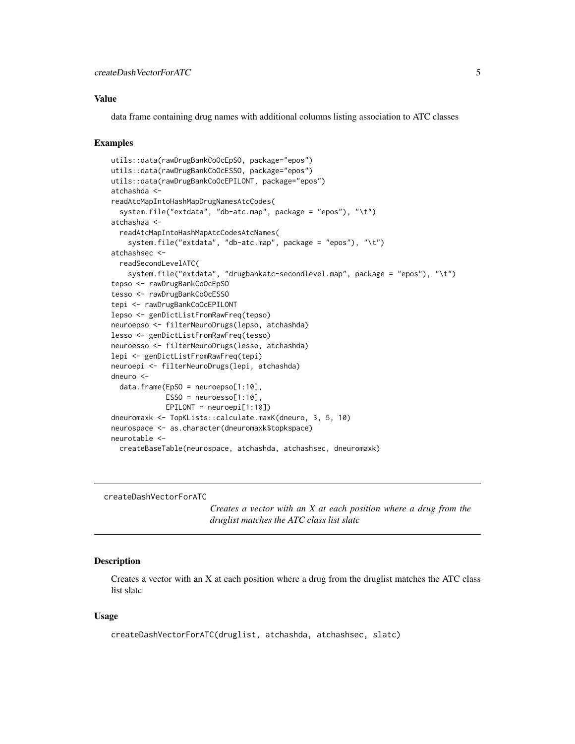#### <span id="page-4-0"></span>Value

data frame containing drug names with additional columns listing association to ATC classes

#### Examples

```
utils::data(rawDrugBankCoOcEpSO, package="epos")
utils::data(rawDrugBankCoOcESSO, package="epos")
utils::data(rawDrugBankCoOcEPILONT, package="epos")
atchashda <-
readAtcMapIntoHashMapDrugNamesAtcCodes(
  system.file("extdata", "db-atc.map", package = "epos"), "\t")
atchashaa <-
 readAtcMapIntoHashMapAtcCodesAtcNames(
    system.file("extdata", "db-atc.map", package = "epos"), "\t")
atchashsec <-
 readSecondLevelATC(
    system.file("extdata", "drugbankatc-secondlevel.map", package = "epos"), "\t")
tepso <- rawDrugBankCoOcEpSO
tesso <- rawDrugBankCoOcESSO
tepi <- rawDrugBankCoOcEPILONT
lepso <- genDictListFromRawFreq(tepso)
neuroepso <- filterNeuroDrugs(lepso, atchashda)
lesso <- genDictListFromRawFreq(tesso)
neuroesso <- filterNeuroDrugs(lesso, atchashda)
lepi <- genDictListFromRawFreq(tepi)
neuroepi <- filterNeuroDrugs(lepi, atchashda)
dneuro <-
 data.frame(EpSO = neuroepso[1:10],
             ESSO = neuroessO[1:10],EPILONT = neuroepi[1:10])
dneuromaxk <- TopKLists::calculate.maxK(dneuro, 3, 5, 10)
neurospace <- as.character(dneuromaxk$topkspace)
neurotable <-
 createBaseTable(neurospace, atchashda, atchashsec, dneuromaxk)
```
createDashVectorForATC

*Creates a vector with an X at each position where a drug from the druglist matches the ATC class list slatc*

#### Description

Creates a vector with an X at each position where a drug from the druglist matches the ATC class list slatc

#### Usage

createDashVectorForATC(druglist, atchashda, atchashsec, slatc)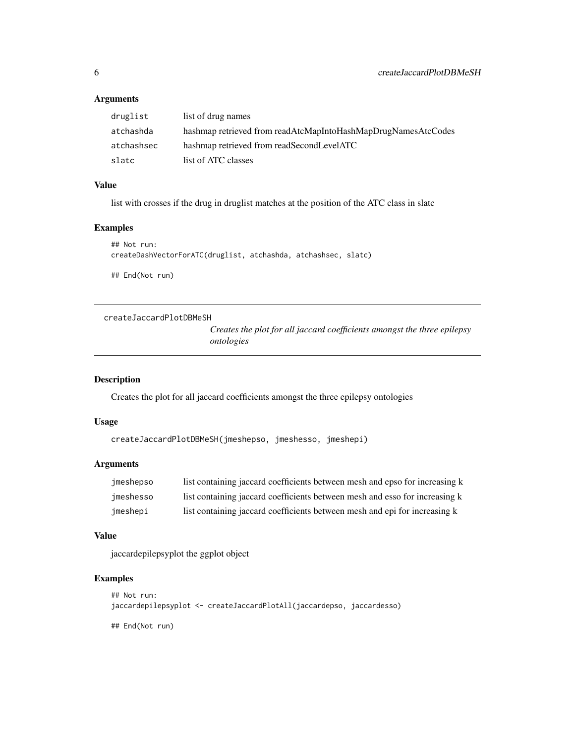# Arguments

| druglist   | list of drug names                                            |
|------------|---------------------------------------------------------------|
| atchashda  | hashmap retrieved from readAtcMapIntoHashMapDrugNamesAtcCodes |
| atchashsec | hashmap retrieved from readSecondLevelATC                     |
| slatc      | list of ATC classes                                           |

# Value

list with crosses if the drug in druglist matches at the position of the ATC class in slatc

# Examples

```
## Not run:
createDashVectorForATC(druglist, atchashda, atchashsec, slatc)
## End(Not run)
```
createJaccardPlotDBMeSH

*Creates the plot for all jaccard coefficients amongst the three epilepsy ontologies*

# Description

Creates the plot for all jaccard coefficients amongst the three epilepsy ontologies

#### Usage

```
createJaccardPlotDBMeSH(jmeshepso, jmeshesso, jmeshepi)
```
# Arguments

| imeshepso | list containing jaccard coefficients between mesh and epso for increasing k |
|-----------|-----------------------------------------------------------------------------|
| jmeshesso | list containing jaccard coefficients between mesh and esso for increasing k |
| imeshepi  | list containing jaccard coefficients between mesh and epi for increasing k  |

#### Value

jaccardepilepsyplot the ggplot object

# Examples

```
## Not run:
jaccardepilepsyplot <- createJaccardPlotAll(jaccardepso, jaccardesso)
```
## End(Not run)

<span id="page-5-0"></span>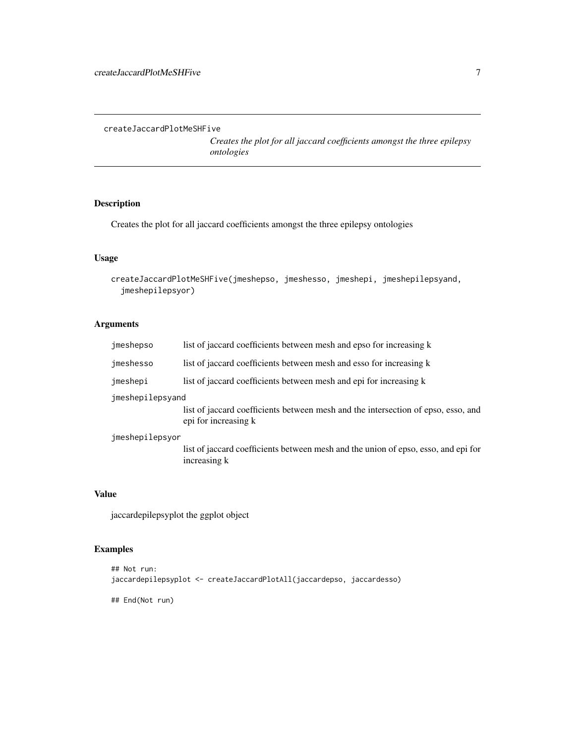<span id="page-6-0"></span>createJaccardPlotMeSHFive

*Creates the plot for all jaccard coefficients amongst the three epilepsy ontologies*

# Description

Creates the plot for all jaccard coefficients amongst the three epilepsy ontologies

# Usage

```
createJaccardPlotMeSHFive(jmeshepso, jmeshesso, jmeshepi, jmeshepilepsyand,
  jmeshepilepsyor)
```
# Arguments

| jmeshepso        | list of jaccard coefficients between mesh and epso for increasing k                                       |
|------------------|-----------------------------------------------------------------------------------------------------------|
| jmeshesso        | list of jaccard coefficients between mesh and esso for increasing k                                       |
| jmeshepi         | list of jaccard coefficients between mesh and epi for increasing k                                        |
| jmeshepilepsyand |                                                                                                           |
|                  | list of jaccard coefficients between mesh and the intersection of epso, esso, and<br>epi for increasing k |
| jmeshepilepsyor  |                                                                                                           |
|                  | list of jaccard coefficients between mesh and the union of epso, esso, and epi for<br>increasing k        |

# Value

jaccardepilepsyplot the ggplot object

# Examples

```
## Not run:
jaccardepilepsyplot <- createJaccardPlotAll(jaccardepso, jaccardesso)
```
## End(Not run)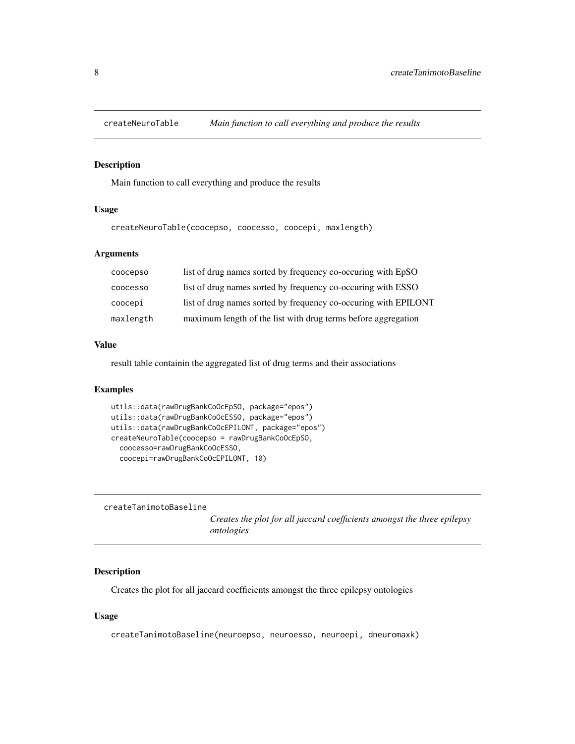<span id="page-7-0"></span>

# Description

Main function to call everything and produce the results

#### Usage

createNeuroTable(coocepso, coocesso, coocepi, maxlength)

# Arguments

| coocepso        | list of drug names sorted by frequency co-occuring with EpSO    |
|-----------------|-----------------------------------------------------------------|
| <b>COOCESSO</b> | list of drug names sorted by frequency co-occuring with ESSO    |
| соосері         | list of drug names sorted by frequency co-occuring with EPILONT |
| maxlength       | maximum length of the list with drug terms before aggregation   |

#### Value

result table containin the aggregated list of drug terms and their associations

#### Examples

```
utils::data(rawDrugBankCoOcEpSO, package="epos")
utils::data(rawDrugBankCoOcESSO, package="epos")
utils::data(rawDrugBankCoOcEPILONT, package="epos")
createNeuroTable(coocepso = rawDrugBankCoOcEpSO,
  coocesso=rawDrugBankCoOcESSO,
  coocepi=rawDrugBankCoOcEPILONT, 10)
```

```
createTanimotoBaseline
```
*Creates the plot for all jaccard coefficients amongst the three epilepsy ontologies*

#### Description

Creates the plot for all jaccard coefficients amongst the three epilepsy ontologies

#### Usage

createTanimotoBaseline(neuroepso, neuroesso, neuroepi, dneuromaxk)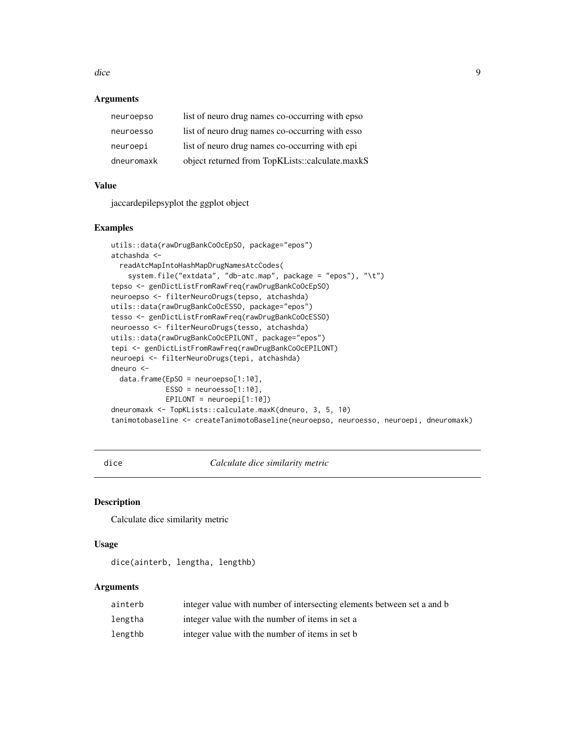<span id="page-8-0"></span>dice 9

#### **Arguments**

| dneuromaxk | object returned from TopKLists::calculate.maxkS |
|------------|-------------------------------------------------|
| neuroepi   | list of neuro drug names co-occurring with epi  |
| neuroesso  | list of neuro drug names co-occurring with esso |
| neuroepso  | list of neuro drug names co-occurring with epso |

# Value

jaccardepilepsyplot the ggplot object

#### Examples

```
utils::data(rawDrugBankCoOcEpSO, package="epos")
atchashda <-
  readAtcMapIntoHashMapDrugNamesAtcCodes(
    system.file("extdata", "db-atc.map", package = "epos"), "\t")
tepso <- genDictListFromRawFreq(rawDrugBankCoOcEpSO)
neuroepso <- filterNeuroDrugs(tepso, atchashda)
utils::data(rawDrugBankCoOcESSO, package="epos")
tesso <- genDictListFromRawFreq(rawDrugBankCoOcESSO)
neuroesso <- filterNeuroDrugs(tesso, atchashda)
utils::data(rawDrugBankCoOcEPILONT, package="epos")
tepi <- genDictListFromRawFreq(rawDrugBankCoOcEPILONT)
neuroepi <- filterNeuroDrugs(tepi, atchashda)
dneuro <-
  data.frame(EpSO = neuroepso[1:10],
             ESSO = neuroesso[1:10],EPILONT = neuroepi[1:10])
dneuromaxk <- TopKLists::calculate.maxK(dneuro, 3, 5, 10)
tanimotobaseline <- createTanimotoBaseline(neuroepso, neuroesso, neuroepi, dneuromaxk)
```
dice *Calculate dice similarity metric*

#### Description

Calculate dice similarity metric

# Usage

dice(ainterb, lengtha, lengthb)

#### Arguments

| ainterb | integer value with number of intersecting elements between set a and b |
|---------|------------------------------------------------------------------------|
| lengtha | integer value with the number of items in set a                        |
| lengthb | integer value with the number of items in set b                        |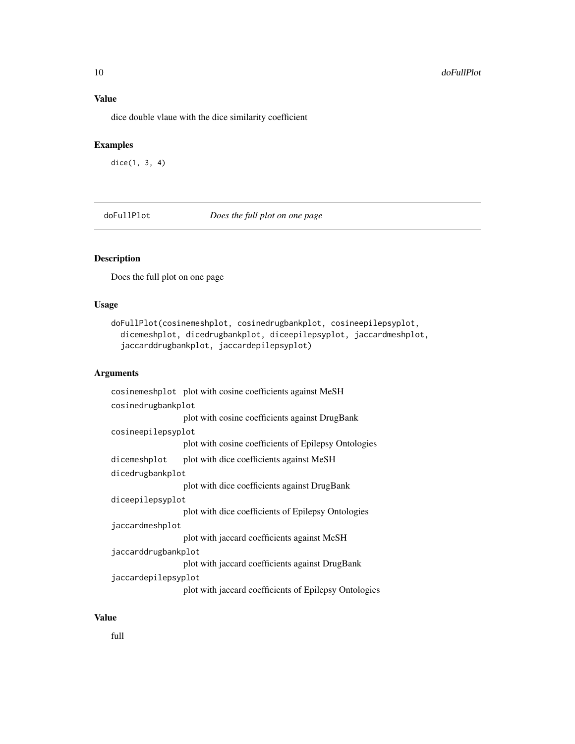# <span id="page-9-0"></span>Value

dice double vlaue with the dice similarity coefficient

# Examples

dice(1, 3, 4)

doFullPlot *Does the full plot on one page*

#### Description

Does the full plot on one page

#### Usage

```
doFullPlot(cosinemeshplot, cosinedrugbankplot, cosineepilepsyplot,
  dicemeshplot, dicedrugbankplot, diceepilepsyplot, jaccardmeshplot,
  jaccarddrugbankplot, jaccardepilepsyplot)
```
#### Arguments

```
cosinemeshplot plot with cosine coefficients against MeSH
cosinedrugbankplot
                 plot with cosine coefficients against DrugBank
cosineepilepsyplot
                  plot with cosine coefficients of Epilepsy Ontologies
dicemeshplot plot with dice coefficients against MeSH
dicedrugbankplot
                  plot with dice coefficients against DrugBank
diceepilepsyplot
                  plot with dice coefficients of Epilepsy Ontologies
jaccardmeshplot
                  plot with jaccard coefficients against MeSH
jaccarddrugbankplot
                  plot with jaccard coefficients against DrugBank
jaccardepilepsyplot
                  plot with jaccard coefficients of Epilepsy Ontologies
```
#### Value

full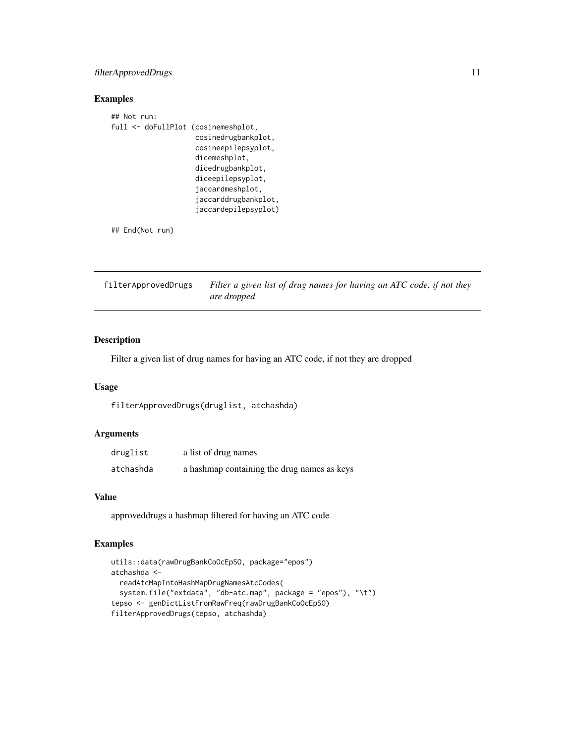# <span id="page-10-0"></span>filterApprovedDrugs 11

# Examples

| ## Not run:                         |                      |
|-------------------------------------|----------------------|
| full <- doFullPlot (cosinemeshplot, |                      |
|                                     | cosinedrugbankplot,  |
|                                     | cosineepilepsyplot,  |
|                                     | dicemeshplot,        |
|                                     | dicedrugbankplot,    |
|                                     | diceepilepsyplot.    |
|                                     | jaccardmeshplot,     |
|                                     | jaccarddrugbankplot, |
|                                     | jaccardepilepsyplot) |
|                                     |                      |

## End(Not run)

filterApprovedDrugs *Filter a given list of drug names for having an ATC code, if not they are dropped*

# Description

Filter a given list of drug names for having an ATC code, if not they are dropped

#### Usage

filterApprovedDrugs(druglist, atchashda)

# Arguments

| druglist  | a list of drug names                        |
|-----------|---------------------------------------------|
| atchashda | a hashmap containing the drug names as keys |

# Value

approveddrugs a hashmap filtered for having an ATC code

# Examples

```
utils::data(rawDrugBankCoOcEpSO, package="epos")
atchashda <-
  readAtcMapIntoHashMapDrugNamesAtcCodes(
  system.file("extdata", "db-atc.map", package = "epos"), "\t")
tepso <- genDictListFromRawFreq(rawDrugBankCoOcEpSO)
filterApprovedDrugs(tepso, atchashda)
```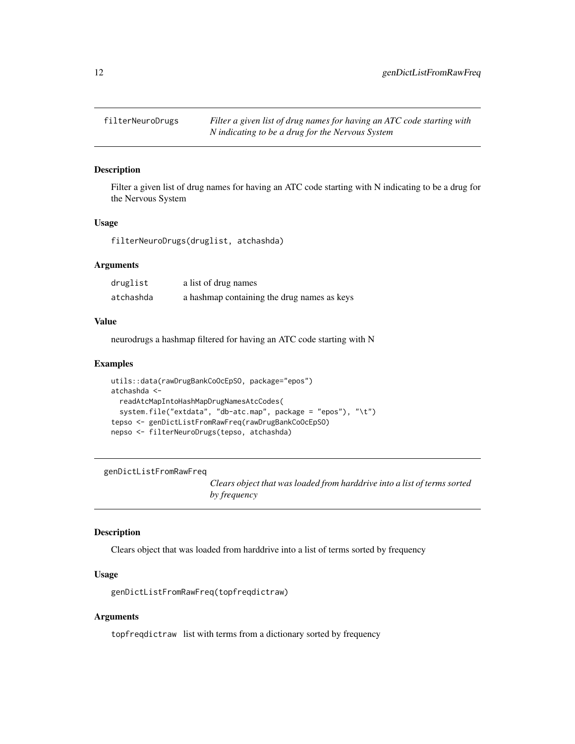<span id="page-11-0"></span>

# Description

Filter a given list of drug names for having an ATC code starting with N indicating to be a drug for the Nervous System

#### Usage

filterNeuroDrugs(druglist, atchashda)

#### Arguments

| druglist  | a list of drug names                        |
|-----------|---------------------------------------------|
| atchashda | a hashmap containing the drug names as keys |

#### Value

neurodrugs a hashmap filtered for having an ATC code starting with N

#### Examples

```
utils::data(rawDrugBankCoOcEpSO, package="epos")
atchashda <-
 readAtcMapIntoHashMapDrugNamesAtcCodes(
 system.file("extdata", "db-atc.map", package = "epos"), "\t")
tepso <- genDictListFromRawFreq(rawDrugBankCoOcEpSO)
nepso <- filterNeuroDrugs(tepso, atchashda)
```
genDictListFromRawFreq

*Clears object that was loaded from harddrive into a list of terms sorted by frequency*

#### Description

Clears object that was loaded from harddrive into a list of terms sorted by frequency

#### Usage

genDictListFromRawFreq(topfreqdictraw)

#### Arguments

topfreqdictraw list with terms from a dictionary sorted by frequency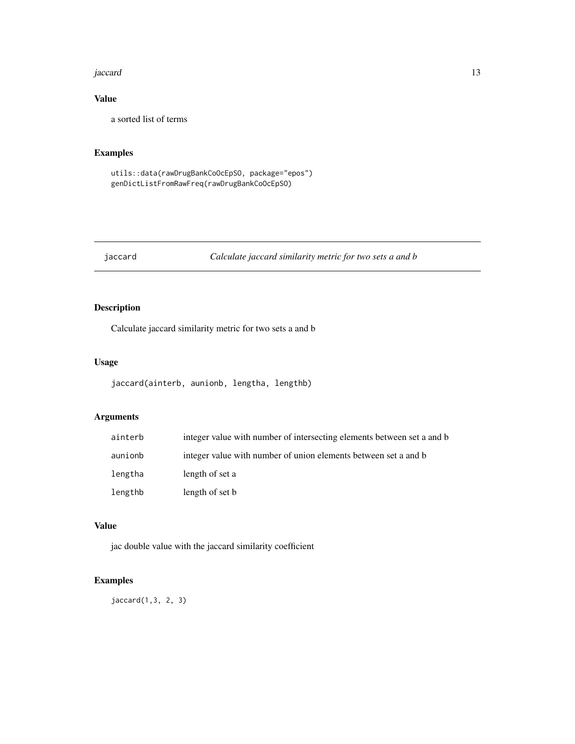#### <span id="page-12-0"></span>jaccard 13

# Value

a sorted list of terms

# Examples

```
utils::data(rawDrugBankCoOcEpSO, package="epos")
genDictListFromRawFreq(rawDrugBankCoOcEpSO)
```
# jaccard *Calculate jaccard similarity metric for two sets a and b*

# Description

Calculate jaccard similarity metric for two sets a and b

#### Usage

```
jaccard(ainterb, aunionb, lengtha, lengthb)
```
# Arguments

| ainterb | integer value with number of intersecting elements between set a and b |
|---------|------------------------------------------------------------------------|
| aunionb | integer value with number of union elements between set a and b        |
| lengtha | length of set a                                                        |
| lengthb | length of set b                                                        |

#### Value

jac double value with the jaccard similarity coefficient

# Examples

jaccard(1,3, 2, 3)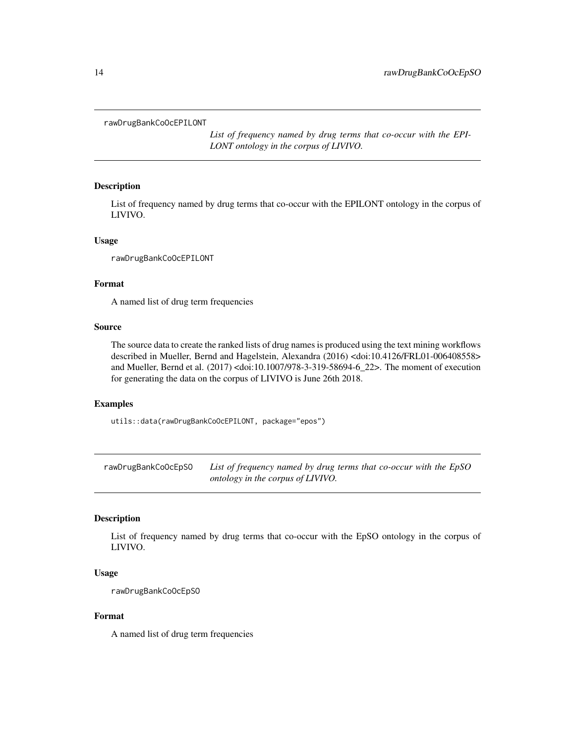<span id="page-13-0"></span>rawDrugBankCoOcEPILONT

*List of frequency named by drug terms that co-occur with the EPI-LONT ontology in the corpus of LIVIVO.*

#### Description

List of frequency named by drug terms that co-occur with the EPILONT ontology in the corpus of LIVIVO.

#### Usage

rawDrugBankCoOcEPILONT

# Format

A named list of drug term frequencies

#### Source

The source data to create the ranked lists of drug names is produced using the text mining workflows described in Mueller, Bernd and Hagelstein, Alexandra (2016) <doi:10.4126/FRL01-006408558> and Mueller, Bernd et al. (2017) <doi:10.1007/978-3-319-58694-6\_22>. The moment of execution for generating the data on the corpus of LIVIVO is June 26th 2018.

#### Examples

utils::data(rawDrugBankCoOcEPILONT, package="epos")

rawDrugBankCoOcEpSO *List of frequency named by drug terms that co-occur with the EpSO ontology in the corpus of LIVIVO.*

#### Description

List of frequency named by drug terms that co-occur with the EpSO ontology in the corpus of LIVIVO.

#### Usage

rawDrugBankCoOcEpSO

#### Format

A named list of drug term frequencies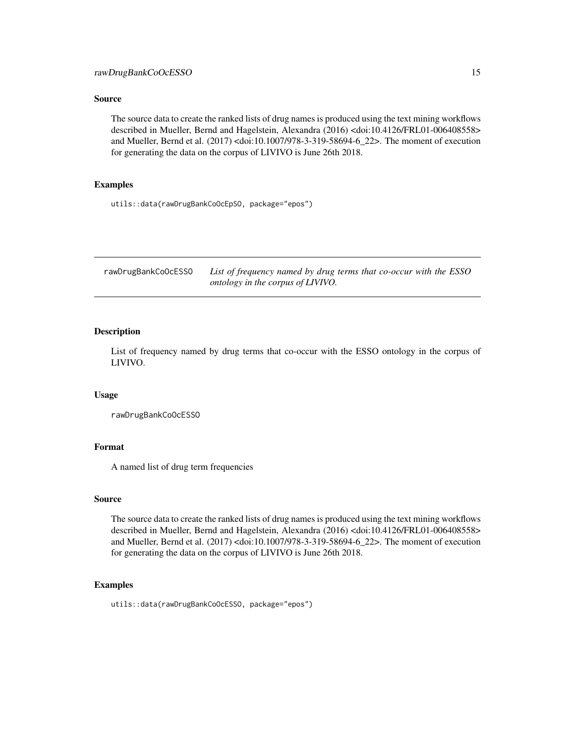#### <span id="page-14-0"></span>Source

The source data to create the ranked lists of drug names is produced using the text mining workflows described in Mueller, Bernd and Hagelstein, Alexandra (2016) <doi:10.4126/FRL01-006408558> and Mueller, Bernd et al. (2017) <doi:10.1007/978-3-319-58694-6\_22>. The moment of execution for generating the data on the corpus of LIVIVO is June 26th 2018.

#### Examples

utils::data(rawDrugBankCoOcEpSO, package="epos")

rawDrugBankCoOcESSO *List of frequency named by drug terms that co-occur with the ESSO ontology in the corpus of LIVIVO.*

# **Description**

List of frequency named by drug terms that co-occur with the ESSO ontology in the corpus of LIVIVO.

#### Usage

rawDrugBankCoOcESSO

# Format

A named list of drug term frequencies

#### Source

The source data to create the ranked lists of drug names is produced using the text mining workflows described in Mueller, Bernd and Hagelstein, Alexandra (2016) <doi:10.4126/FRL01-006408558> and Mueller, Bernd et al. (2017) <doi:10.1007/978-3-319-58694-6\_22>. The moment of execution for generating the data on the corpus of LIVIVO is June 26th 2018.

#### Examples

```
utils::data(rawDrugBankCoOcESSO, package="epos")
```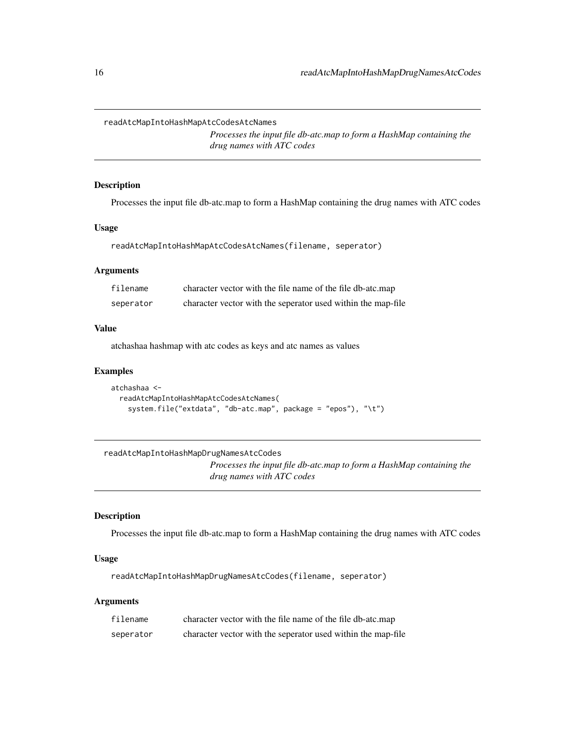<span id="page-15-0"></span>readAtcMapIntoHashMapAtcCodesAtcNames

*Processes the input file db-atc.map to form a HashMap containing the drug names with ATC codes*

#### Description

Processes the input file db-atc.map to form a HashMap containing the drug names with ATC codes

#### Usage

readAtcMapIntoHashMapAtcCodesAtcNames(filename, seperator)

#### Arguments

| filename  | character vector with the file name of the file db-atc.map   |
|-----------|--------------------------------------------------------------|
| seperator | character vector with the seperator used within the map-file |

#### Value

atchashaa hashmap with atc codes as keys and atc names as values

#### Examples

```
atchashaa <-
 readAtcMapIntoHashMapAtcCodesAtcNames(
    system.file("extdata", "db-atc.map", package = "epos"), "\t")
```
#### readAtcMapIntoHashMapDrugNamesAtcCodes

*Processes the input file db-atc.map to form a HashMap containing the drug names with ATC codes*

# Description

Processes the input file db-atc.map to form a HashMap containing the drug names with ATC codes

# Usage

readAtcMapIntoHashMapDrugNamesAtcCodes(filename, seperator)

#### Arguments

| filename  | character vector with the file name of the file db-atc.map   |
|-----------|--------------------------------------------------------------|
| seperator | character vector with the seperator used within the map-file |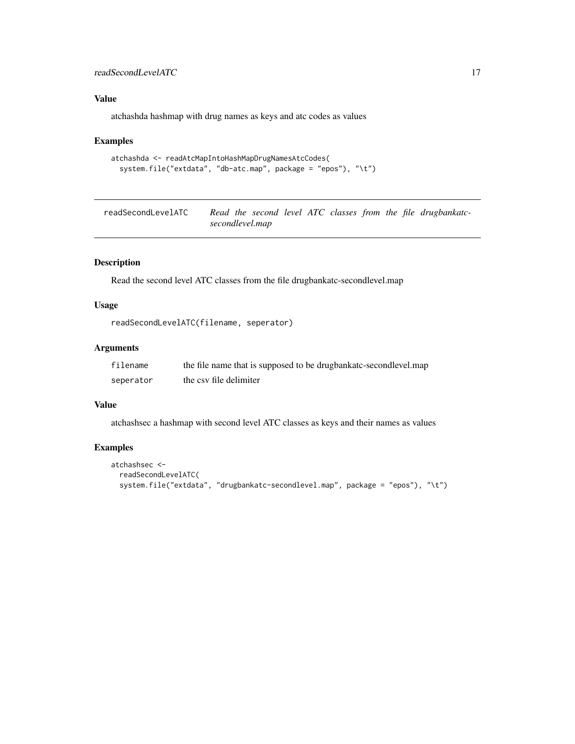#### <span id="page-16-0"></span>readSecondLevelATC 17

# Value

atchashda hashmap with drug names as keys and atc codes as values

#### Examples

```
atchashda <- readAtcMapIntoHashMapDrugNamesAtcCodes(
 system.file("extdata", "db-atc.map", package = "epos"), "\t")
```
readSecondLevelATC *Read the second level ATC classes from the file drugbankatcsecondlevel.map*

# Description

Read the second level ATC classes from the file drugbankatc-secondlevel.map

# Usage

```
readSecondLevelATC(filename, seperator)
```
#### Arguments

| filename  | the file name that is supposed to be drugbankatc-secondlevel.map |
|-----------|------------------------------------------------------------------|
| seperator | the csy file delimiter                                           |

#### Value

atchashsec a hashmap with second level ATC classes as keys and their names as values

# Examples

```
atchashsec <-
 readSecondLevelATC(
 system.file("extdata", "drugbankatc-secondlevel.map", package = "epos"), "\t")
```